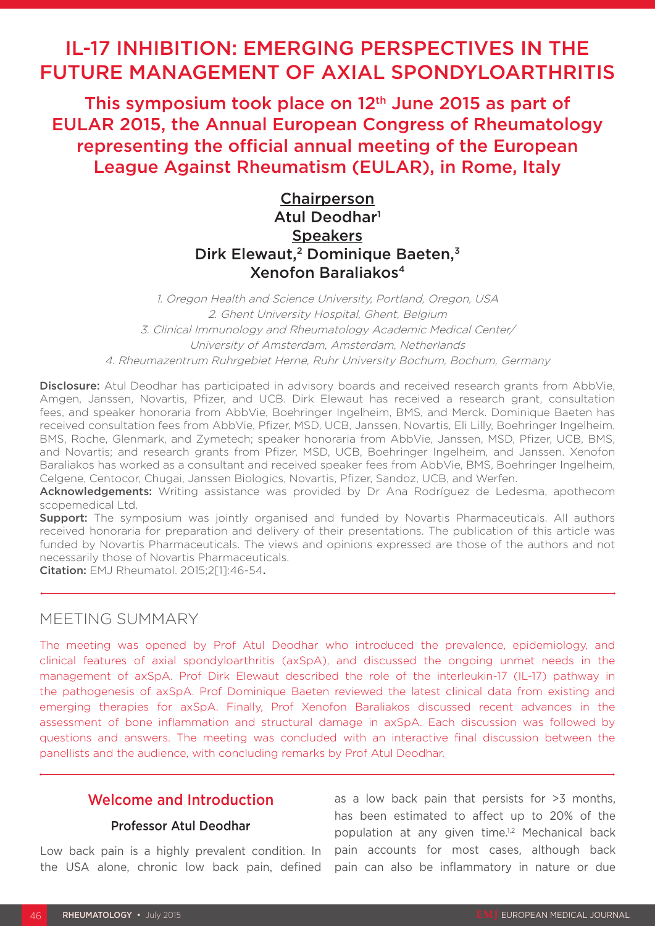# IL-17 INHIBITION: EMERGING PERSPECTIVES IN THE FUTURE MANAGEMENT OF AXIAL SPONDYLOARTHRITIS

This symposium took place on 12<sup>th</sup> June 2015 as part of EULAR 2015, the Annual European Congress of Rheumatology representing the official annual meeting of the European League Against Rheumatism (EULAR), in Rome, Italy

## **Chairperson** Atul Deodhar<sup>1</sup> **Speakers** Dirk Elewaut,<sup>2</sup> Dominique Baeten,<sup>3</sup> Xenofon Baraliakos4

1. Oregon Health and Science University, Portland, Oregon, USA 2. Ghent University Hospital, Ghent, Belgium 3. Clinical Immunology and Rheumatology Academic Medical Center/ University of Amsterdam, Amsterdam, Netherlands 4. Rheumazentrum Ruhrgebiet Herne, Ruhr University Bochum, Bochum, Germany

Disclosure: Atul Deodhar has participated in advisory boards and received research grants from AbbVie, Amgen, Janssen, Novartis, Pfizer, and UCB. Dirk Elewaut has received a research grant, consultation fees, and speaker honoraria from AbbVie, Boehringer Ingelheim, BMS, and Merck. Dominique Baeten has received consultation fees from AbbVie, Pfizer, MSD, UCB, Janssen, Novartis, Eli Lilly, Boehringer Ingelheim, BMS, Roche, Glenmark, and Zymetech; speaker honoraria from AbbVie, Janssen, MSD, Pfizer, UCB, BMS, and Novartis; and research grants from Pfizer, MSD, UCB, Boehringer Ingelheim, and Janssen. Xenofon Baraliakos has worked as a consultant and received speaker fees from AbbVie, BMS, Boehringer Ingelheim, Celgene, Centocor, Chugai, Janssen Biologics, Novartis, Pfizer, Sandoz, UCB, and Werfen.

Acknowledgements: Writing assistance was provided by Dr Ana Rodríguez de Ledesma, apothecom scopemedical Ltd.

**Support:** The symposium was jointly organised and funded by Novartis Pharmaceuticals. All authors received honoraria for preparation and delivery of their presentations. The publication of this article was funded by Novartis Pharmaceuticals. The views and opinions expressed are those of the authors and not necessarily those of Novartis Pharmaceuticals.

Citation: EMJ Rheumatol. 2015;2[1]:46-54.

### MEETING SUMMARY

The meeting was opened by Prof Atul Deodhar who introduced the prevalence, epidemiology, and clinical features of axial spondyloarthritis (axSpA), and discussed the ongoing unmet needs in the management of axSpA. Prof Dirk Elewaut described the role of the interleukin-17 (IL-17) pathway in the pathogenesis of axSpA. Prof Dominique Baeten reviewed the latest clinical data from existing and emerging therapies for axSpA. Finally, Prof Xenofon Baraliakos discussed recent advances in the assessment of bone inflammation and structural damage in axSpA. Each discussion was followed by questions and answers. The meeting was concluded with an interactive final discussion between the panellists and the audience, with concluding remarks by Prof Atul Deodhar.

### Welcome and Introduction

#### Professor Atul Deodhar

Low back pain is a highly prevalent condition. In pain accounts for most cases, although back the USA alone, chronic low back pain, defined pain can also be inflammatory in nature or due as a low back pain that persists for >3 months, has been estimated to affect up to 20% of the population at any given time.<sup>1,2</sup> Mechanical back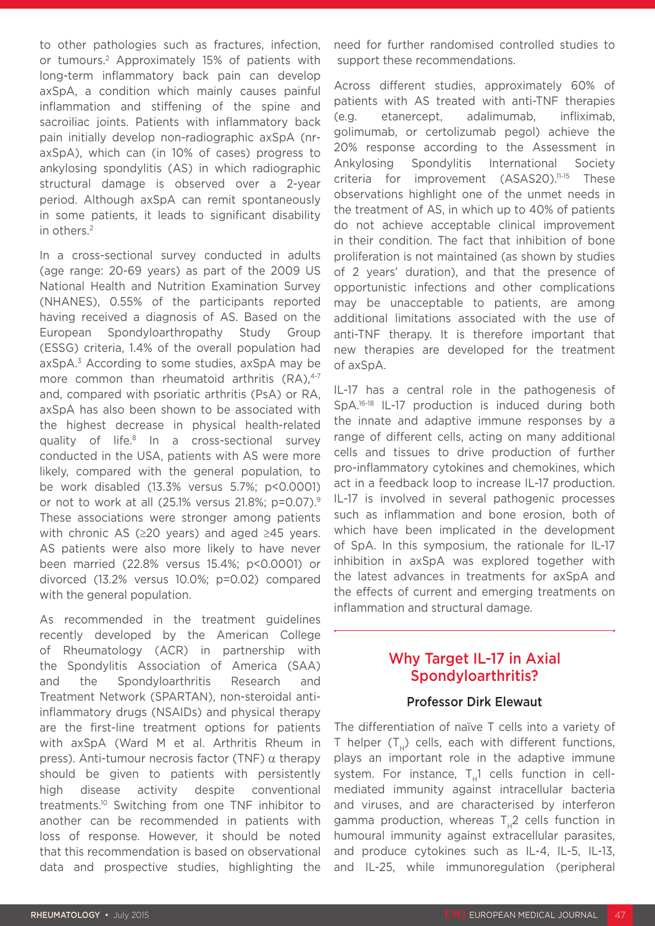to other pathologies such as fractures, infection, or tumours.2 Approximately 15% of patients with long-term inflammatory back pain can develop axSpA, a condition which mainly causes painful inflammation and stiffening of the spine and sacroiliac joints. Patients with inflammatory back pain initially develop non-radiographic axSpA (nraxSpA), which can (in 10% of cases) progress to ankylosing spondylitis (AS) in which radiographic structural damage is observed over a 2-year period. Although axSpA can remit spontaneously in some patients, it leads to significant disability in others.2

In a cross-sectional survey conducted in adults (age range: 20-69 years) as part of the 2009 US National Health and Nutrition Examination Survey (NHANES), 0.55% of the participants reported having received a diagnosis of AS. Based on the European Spondyloarthropathy Study Group (ESSG) criteria, 1.4% of the overall population had axSpA.3 According to some studies, axSpA may be more common than rheumatoid arthritis  $(RA)$ ,<sup>4-7</sup> and, compared with psoriatic arthritis (PsA) or RA, axSpA has also been shown to be associated with the highest decrease in physical health-related quality of life.8 In a cross-sectional survey conducted in the USA, patients with AS were more likely, compared with the general population, to be work disabled (13.3% versus 5.7%; p<0.0001) or not to work at all (25.1% versus 21.8%; p=0.07).9 These associations were stronger among patients with chronic AS (≥20 years) and aged ≥45 years. AS patients were also more likely to have never been married (22.8% versus 15.4%; p<0.0001) or divorced (13.2% versus 10.0%; p=0.02) compared with the general population.

As recommended in the treatment guidelines recently developed by the American College of Rheumatology (ACR) in partnership with the Spondylitis Association of America (SAA) and the Spondyloarthritis Research and Treatment Network (SPARTAN), non-steroidal antiinflammatory drugs (NSAIDs) and physical therapy are the first-line treatment options for patients with axSpA (Ward M et al. Arthritis Rheum in press). Anti-tumour necrosis factor (TNF)  $\alpha$  therapy should be given to patients with persistently high disease activity despite conventional treatments.10 Switching from one TNF inhibitor to another can be recommended in patients with loss of response. However, it should be noted that this recommendation is based on observational data and prospective studies, highlighting the

need for further randomised controlled studies to support these recommendations.

Across different studies, approximately 60% of patients with AS treated with anti-TNF therapies (e.g. etanercept, adalimumab, infliximab, golimumab, or certolizumab pegol) achieve the 20% response according to the Assessment in Ankylosing Spondylitis International Society criteria for improvement (ASAS20).<sup>11-15</sup> These observations highlight one of the unmet needs in the treatment of AS, in which up to 40% of patients do not achieve acceptable clinical improvement in their condition. The fact that inhibition of bone proliferation is not maintained (as shown by studies of 2 years' duration), and that the presence of opportunistic infections and other complications may be unacceptable to patients, are among additional limitations associated with the use of anti-TNF therapy. It is therefore important that new therapies are developed for the treatment of axSpA.

IL-17 has a central role in the pathogenesis of SpA.16-18 IL-17 production is induced during both the innate and adaptive immune responses by a range of different cells, acting on many additional cells and tissues to drive production of further pro-inflammatory cytokines and chemokines, which act in a feedback loop to increase IL-17 production. IL-17 is involved in several pathogenic processes such as inflammation and bone erosion, both of which have been implicated in the development of SpA. In this symposium, the rationale for IL-17 inhibition in axSpA was explored together with the latest advances in treatments for axSpA and the effects of current and emerging treatments on inflammation and structural damage.

### Why Target IL-17 in Axial Spondyloarthritis?

#### Professor Dirk Elewaut

The differentiation of naïve T cells into a variety of T helper  $(T_H)$  cells, each with different functions, plays an important role in the adaptive immune system. For instance,  $T_{\mu}$ 1 cells function in cellmediated immunity against intracellular bacteria and viruses, and are characterised by interferon gamma production, whereas  $T_H2$  cells function in humoural immunity against extracellular parasites, and produce cytokines such as IL-4, IL-5, IL-13, and IL-25, while immunoregulation (peripheral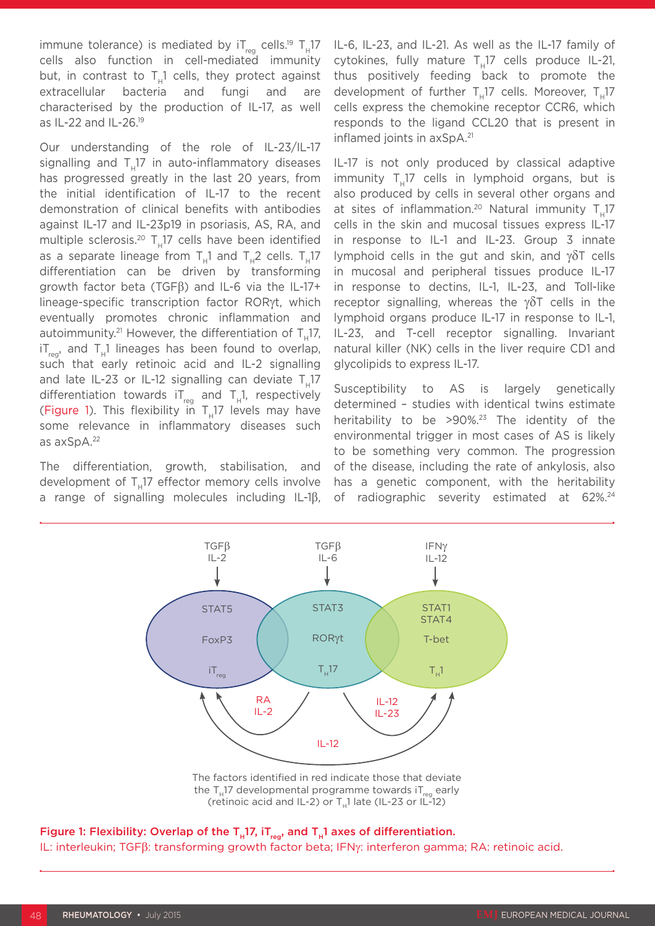immune tolerance) is mediated by  $IT_{reg}$  cells.<sup>19</sup>  $T_H$ 17 cells also function in cell-mediated immunity but, in contrast to  $T<sub>1</sub>1$  cells, they protect against extracellular bacteria and fungi and are characterised by the production of IL-17, as well as IL-22 and IL-26.19

Our understanding of the role of IL-23/IL-17 signalling and T<sub>u</sub>17 in auto-inflammatory diseases has progressed greatly in the last 20 years, from the initial identification of IL-17 to the recent demonstration of clinical benefits with antibodies against IL-17 and IL-23p19 in psoriasis, AS, RA, and multiple sclerosis.<sup>20</sup>  $T_u17$  cells have been identified as a separate lineage from  $T_{\text{u}}1$  and  $T_{\text{u}}2$  cells.  $T_{\text{u}}17$ differentiation can be driven by transforming growth factor beta (TGFβ) and IL-6 via the IL-17+ lineage-specific transcription factor RORγt, which eventually promotes chronic inflammation and autoimmunity. $21$  However, the differentiation of T.17,  $i_{\text{max}}$  and T<sub>u</sub>1 lineages has been found to overlap, such that early retinoic acid and IL-2 signalling and late IL-23 or IL-12 signalling can deviate  $T_{11}17$ differentiation towards  $IT_{req}$  and  $T_H1$ , respectively (Figure 1). This flexibility in  $T<sub>u</sub>17$  levels may have some relevance in inflammatory diseases such as axSpA.22

The differentiation, growth, stabilisation, and development of  $T<sub>u</sub>17$  effector memory cells involve a range of signalling molecules including IL-1β, IL-6, IL-23, and IL-21. As well as the IL-17 family of cytokines, fully mature  $T_H17$  cells produce IL-21, thus positively feeding back to promote the development of further T<sub>u</sub>17 cells. Moreover, T<sub>u</sub>17 cells express the chemokine receptor CCR6, which responds to the ligand CCL20 that is present in inflamed joints in axSpA.<sup>21</sup>

IL-17 is not only produced by classical adaptive  $immu$ nity T<sub>u</sub>17 cells in lymphoid organs, but is also produced by cells in several other organs and at sites of inflammation.<sup>20</sup> Natural immunity  $T_{\mu}17$ cells in the skin and mucosal tissues express IL-17 in response to IL-1 and IL-23. Group 3 innate lymphoid cells in the gut and skin, and γδT cells in mucosal and peripheral tissues produce IL-17 in response to dectins, IL-1, IL-23, and Toll-like receptor signalling, whereas the  $\gamma \delta T$  cells in the lymphoid organs produce IL-17 in response to IL-1, IL-23, and T-cell receptor signalling. Invariant natural killer (NK) cells in the liver require CD1 and glycolipids to express IL-17.

Susceptibility to AS is largely genetically determined – studies with identical twins estimate heritability to be  $>90\%$ .<sup>23</sup> The identity of the environmental trigger in most cases of AS is likely to be something very common. The progression of the disease, including the rate of ankylosis, also has a genetic component, with the heritability of radiographic severity estimated at 62%.<sup>24</sup>



The factors identified in red indicate those that deviate the  $T_u$ 17 developmental programme towards i $T_{reg}$  early (retinoic acid and IL-2) or  $T<sub>n</sub>1$  late (IL-23 or IL-12)

Figure 1: Flexibility: Overlap of the  $T_H$ 17, i $T_{reg}$ , and  $T_H$ 1 axes of differentiation. IL: interleukin; TGFβ: transforming growth factor beta; IFNγ: interferon gamma; RA: retinoic acid.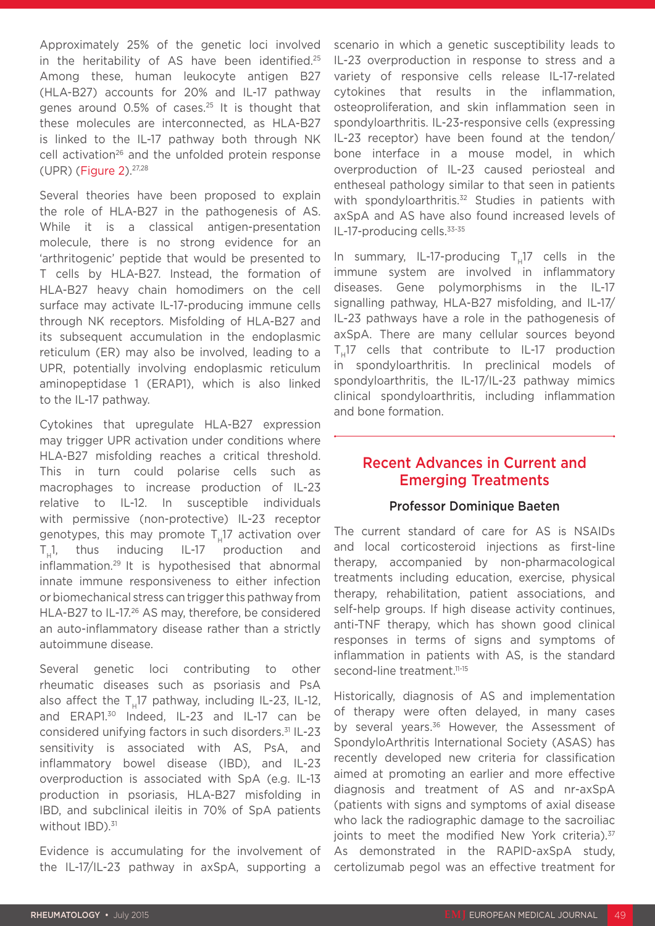Approximately 25% of the genetic loci involved in the heritability of AS have been identified.<sup>25</sup> Among these, human leukocyte antigen B27 (HLA-B27) accounts for 20% and IL-17 pathway genes around 0.5% of cases.25 It is thought that these molecules are interconnected, as HLA-B27 is linked to the IL-17 pathway both through NK cell activation<sup>26</sup> and the unfolded protein response (UPR) (Figure 2).27,28

Several theories have been proposed to explain the role of HLA-B27 in the pathogenesis of AS. While it is a classical antigen-presentation molecule, there is no strong evidence for an 'arthritogenic' peptide that would be presented to T cells by HLA-B27. Instead, the formation of HLA-B27 heavy chain homodimers on the cell surface may activate IL-17-producing immune cells through NK receptors. Misfolding of HLA-B27 and its subsequent accumulation in the endoplasmic reticulum (ER) may also be involved, leading to a UPR, potentially involving endoplasmic reticulum aminopeptidase 1 (ERAP1), which is also linked to the IL-17 pathway.

Cytokines that upregulate HLA-B27 expression may trigger UPR activation under conditions where HLA-B27 misfolding reaches a critical threshold. This in turn could polarise cells such as macrophages to increase production of IL-23 relative to IL-12. In susceptible individuals with permissive (non-protective) IL-23 receptor genotypes, this may promote  $T_{\text{H}}17$  activation over T<sub>u</sub>1, thus inducing IL-17 production and inflammation.29 It is hypothesised that abnormal innate immune responsiveness to either infection or biomechanical stress can trigger this pathway from HLA-B27 to IL-17.26 AS may, therefore, be considered an auto-inflammatory disease rather than a strictly autoimmune disease.

Several genetic loci contributing to other rheumatic diseases such as psoriasis and PsA also affect the  $T<sub>u</sub>17$  pathway, including IL-23, IL-12, and ERAP1.<sup>30</sup> Indeed, IL-23 and IL-17 can be considered unifying factors in such disorders.31 IL-23 sensitivity is associated with AS, PsA, and inflammatory bowel disease (IBD), and IL-23 overproduction is associated with SpA (e.g. IL-13 production in psoriasis, HLA-B27 misfolding in IBD, and subclinical ileitis in 70% of SpA patients without  $IBD$ ). $31$ 

Evidence is accumulating for the involvement of the IL-17/IL-23 pathway in axSpA, supporting a

scenario in which a genetic susceptibility leads to IL-23 overproduction in response to stress and a variety of responsive cells release IL-17-related cytokines that results in the inflammation, osteoproliferation, and skin inflammation seen in spondyloarthritis. IL-23-responsive cells (expressing IL-23 receptor) have been found at the tendon/ bone interface in a mouse model, in which overproduction of IL-23 caused periosteal and entheseal pathology similar to that seen in patients with spondyloarthritis.<sup>32</sup> Studies in patients with axSpA and AS have also found increased levels of IL-17-producing cells.<sup>33-35</sup>

In summary, IL-17-producing  $T_{11}$ 17 cells in the immune system are involved in inflammatory diseases. Gene polymorphisms in the IL-17 signalling pathway, HLA-B27 misfolding, and IL-17/ IL-23 pathways have a role in the pathogenesis of axSpA. There are many cellular sources beyond T<sub>u</sub>17 cells that contribute to IL-17 production in spondyloarthritis. In preclinical models of spondyloarthritis, the IL-17/IL-23 pathway mimics clinical spondyloarthritis, including inflammation and bone formation.

### Recent Advances in Current and Emerging Treatments

#### Professor Dominique Baeten

The current standard of care for AS is NSAIDs and local corticosteroid injections as first-line therapy, accompanied by non-pharmacological treatments including education, exercise, physical therapy, rehabilitation, patient associations, and self-help groups. If high disease activity continues, anti-TNF therapy, which has shown good clinical responses in terms of signs and symptoms of inflammation in patients with AS, is the standard second-line treatment.<sup>11-15</sup>

Historically, diagnosis of AS and implementation of therapy were often delayed, in many cases by several years.<sup>36</sup> However, the Assessment of SpondyloArthritis International Society (ASAS) has recently developed new criteria for classification aimed at promoting an earlier and more effective diagnosis and treatment of AS and nr-axSpA (patients with signs and symptoms of axial disease who lack the radiographic damage to the sacroiliac joints to meet the modified New York criteria).<sup>37</sup> As demonstrated in the RAPID-axSpA study, certolizumab pegol was an effective treatment for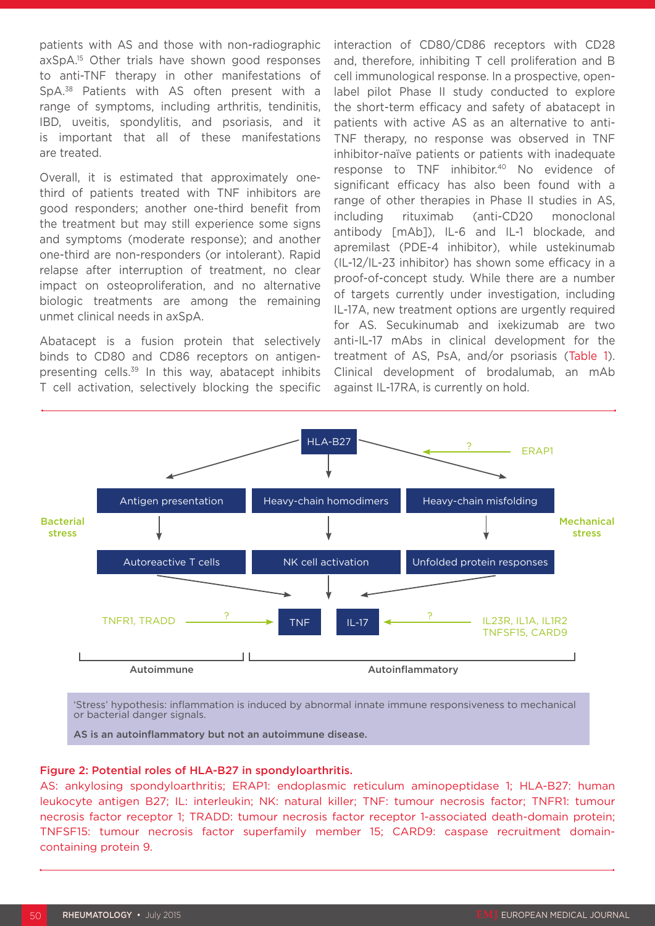patients with AS and those with non-radiographic axSpA.15 Other trials have shown good responses to anti-TNF therapy in other manifestations of SpA.38 Patients with AS often present with a range of symptoms, including arthritis, tendinitis, IBD, uveitis, spondylitis, and psoriasis, and it is important that all of these manifestations are treated.

Overall, it is estimated that approximately onethird of patients treated with TNF inhibitors are good responders; another one-third benefit from the treatment but may still experience some signs and symptoms (moderate response); and another one-third are non-responders (or intolerant). Rapid relapse after interruption of treatment, no clear impact on osteoproliferation, and no alternative biologic treatments are among the remaining unmet clinical needs in axSpA.

Abatacept is a fusion protein that selectively binds to CD80 and CD86 receptors on antigenpresenting cells.<sup>39</sup> In this way, abatacept inhibits T cell activation, selectively blocking the specific

interaction of CD80/CD86 receptors with CD28 and, therefore, inhibiting T cell proliferation and B cell immunological response. In a prospective, openlabel pilot Phase II study conducted to explore the short-term efficacy and safety of abatacept in patients with active AS as an alternative to anti-TNF therapy, no response was observed in TNF inhibitor-naïve patients or patients with inadequate response to TNF inhibitor.<sup>40</sup> No evidence of significant efficacy has also been found with a range of other therapies in Phase II studies in AS, including rituximab (anti-CD20 monoclonal antibody [mAb]), IL-6 and IL-1 blockade, and apremilast (PDE-4 inhibitor), while ustekinumab (IL-12/IL-23 inhibitor) has shown some efficacy in a proof-of-concept study. While there are a number of targets currently under investigation, including IL-17A, new treatment options are urgently required for AS. Secukinumab and ixekizumab are two anti-IL-17 mAbs in clinical development for the treatment of AS, PsA, and/or psoriasis (Table 1). Clinical development of brodalumab, an mAb against IL-17RA, is currently on hold.



or bacterial danger signals.

AS is an autoinflammatory but not an autoimmune disease.

#### Figure 2: Potential roles of HLA-B27 in spondyloarthritis.

AS: ankylosing spondyloarthritis; ERAP1: endoplasmic reticulum aminopeptidase 1; HLA-B27: human leukocyte antigen B27; IL: interleukin; NK: natural killer; TNF: tumour necrosis factor; TNFR1: tumour necrosis factor receptor 1; TRADD: tumour necrosis factor receptor 1-associated death-domain protein; TNFSF15: tumour necrosis factor superfamily member 15; CARD9: caspase recruitment domaincontaining protein 9.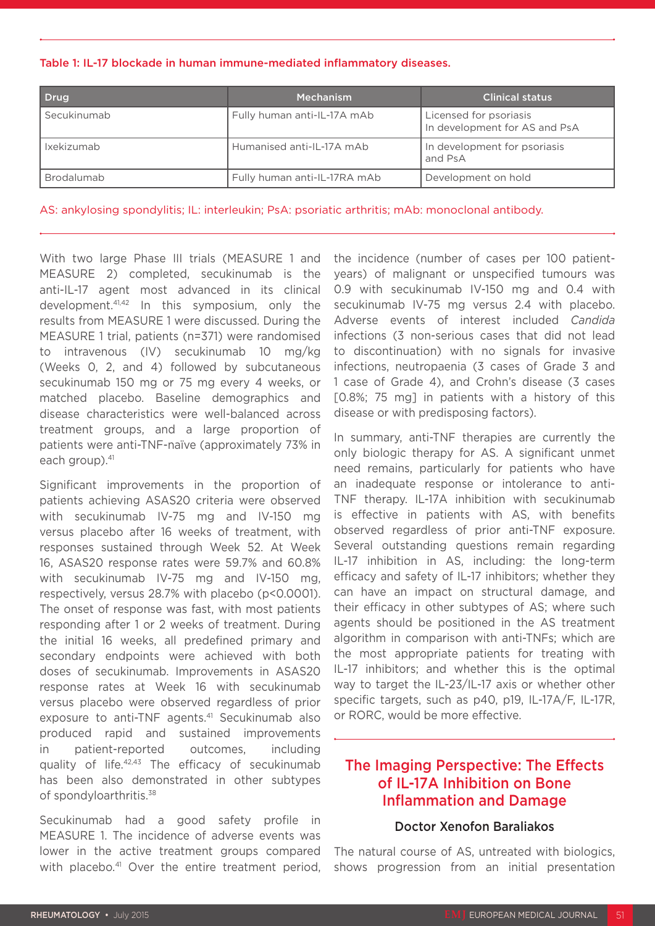Table 1: IL-17 blockade in human immune-mediated inflammatory diseases.

| <b>Drug</b> | <b>Mechanism</b>             | <b>Clinical status</b>                                  |
|-------------|------------------------------|---------------------------------------------------------|
| Secukinumab | Fully human anti-IL-17A mAb  | Licensed for psoriasis<br>In development for AS and PsA |
| Ixekizumab  | Humanised anti-IL-17A mAb    | In development for psoriasis<br>and PsA                 |
| Brodalumab  | Fully human anti-IL-17RA mAb | Development on hold                                     |

AS: ankylosing spondylitis; IL: interleukin; PsA: psoriatic arthritis; mAb: monoclonal antibody.

With two large Phase III trials (MEASURE 1 and MEASURE 2) completed, secukinumab is the anti-IL-17 agent most advanced in its clinical development.41,42 In this symposium, only the results from MEASURE 1 were discussed. During the MEASURE 1 trial, patients (n=371) were randomised to intravenous (IV) secukinumab 10 mg/kg (Weeks 0, 2, and 4) followed by subcutaneous secukinumab 150 mg or 75 mg every 4 weeks, or matched placebo. Baseline demographics and disease characteristics were well-balanced across treatment groups, and a large proportion of patients were anti-TNF-naïve (approximately 73% in each group).<sup>41</sup>

Significant improvements in the proportion of patients achieving ASAS20 criteria were observed with secukinumab IV-75 mg and IV-150 mg versus placebo after 16 weeks of treatment, with responses sustained through Week 52. At Week 16, ASAS20 response rates were 59.7% and 60.8% with secukinumab IV-75 mg and IV-150 mg, respectively, versus 28.7% with placebo (p<0.0001). The onset of response was fast, with most patients responding after 1 or 2 weeks of treatment. During the initial 16 weeks, all predefined primary and secondary endpoints were achieved with both doses of secukinumab. Improvements in ASAS20 response rates at Week 16 with secukinumab versus placebo were observed regardless of prior exposure to anti-TNF agents.<sup>41</sup> Secukinumab also produced rapid and sustained improvements in patient-reported outcomes, including quality of life.42,43 The efficacy of secukinumab has been also demonstrated in other subtypes of spondyloarthritis.38

Secukinumab had a good safety profile in MEASURE 1. The incidence of adverse events was lower in the active treatment groups compared with placebo.<sup>41</sup> Over the entire treatment period, the incidence (number of cases per 100 patientyears) of malignant or unspecified tumours was 0.9 with secukinumab IV-150 mg and 0.4 with secukinumab IV-75 mg versus 2.4 with placebo. Adverse events of interest included *Candida* infections (3 non-serious cases that did not lead to discontinuation) with no signals for invasive infections, neutropaenia (3 cases of Grade 3 and 1 case of Grade 4), and Crohn's disease (3 cases [0.8%; 75 mg] in patients with a history of this disease or with predisposing factors).

In summary, anti-TNF therapies are currently the only biologic therapy for AS. A significant unmet need remains, particularly for patients who have an inadequate response or intolerance to anti-TNF therapy. IL-17A inhibition with secukinumab is effective in patients with AS, with benefits observed regardless of prior anti-TNF exposure. Several outstanding questions remain regarding IL-17 inhibition in AS, including: the long-term efficacy and safety of IL-17 inhibitors; whether they can have an impact on structural damage, and their efficacy in other subtypes of AS; where such agents should be positioned in the AS treatment algorithm in comparison with anti-TNFs; which are the most appropriate patients for treating with IL-17 inhibitors; and whether this is the optimal way to target the IL-23/IL-17 axis or whether other specific targets, such as p40, p19, IL-17A/F, IL-17R, or RORC, would be more effective.

### The Imaging Perspective: The Effects of IL-17A Inhibition on Bone Inflammation and Damage

#### Doctor Xenofon Baraliakos

The natural course of AS, untreated with biologics, shows progression from an initial presentation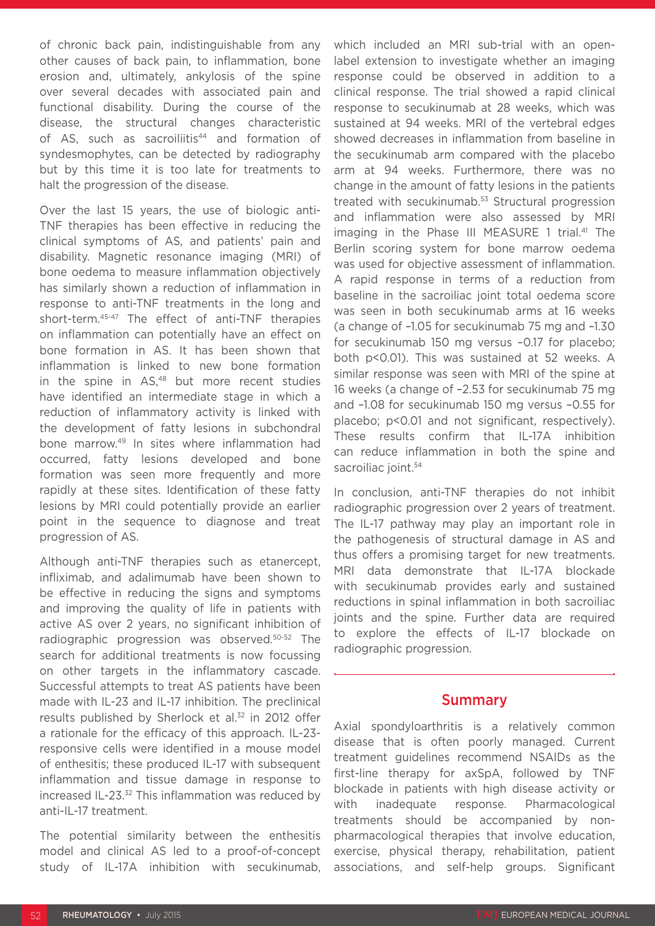of chronic back pain, indistinguishable from any other causes of back pain, to inflammation, bone erosion and, ultimately, ankylosis of the spine over several decades with associated pain and functional disability. During the course of the disease, the structural changes characteristic of AS, such as sacroiliitis<sup>44</sup> and formation of syndesmophytes, can be detected by radiography but by this time it is too late for treatments to halt the progression of the disease.

Over the last 15 years, the use of biologic anti-TNF therapies has been effective in reducing the clinical symptoms of AS, and patients' pain and disability. Magnetic resonance imaging (MRI) of bone oedema to measure inflammation objectively has similarly shown a reduction of inflammation in response to anti-TNF treatments in the long and short-term.45-47 The effect of anti-TNF therapies on inflammation can potentially have an effect on bone formation in AS. It has been shown that inflammation is linked to new bone formation in the spine in AS.<sup>48</sup> but more recent studies have identified an intermediate stage in which a reduction of inflammatory activity is linked with the development of fatty lesions in subchondral bone marrow.49 In sites where inflammation had occurred, fatty lesions developed and bone formation was seen more frequently and more rapidly at these sites. Identification of these fatty lesions by MRI could potentially provide an earlier point in the sequence to diagnose and treat progression of AS.

Although anti-TNF therapies such as etanercept, infliximab, and adalimumab have been shown to be effective in reducing the signs and symptoms and improving the quality of life in patients with active AS over 2 years, no significant inhibition of radiographic progression was observed.50-52 The search for additional treatments is now focussing on other targets in the inflammatory cascade. Successful attempts to treat AS patients have been made with IL-23 and IL-17 inhibition. The preclinical results published by Sherlock et al.<sup>32</sup> in 2012 offer a rationale for the efficacy of this approach. IL-23 responsive cells were identified in a mouse model of enthesitis; these produced IL-17 with subsequent inflammation and tissue damage in response to increased IL-23.<sup>32</sup> This inflammation was reduced by anti-IL-17 treatment.

The potential similarity between the enthesitis model and clinical AS led to a proof-of-concept study of IL-17A inhibition with secukinumab, which included an MRI sub-trial with an openlabel extension to investigate whether an imaging response could be observed in addition to a clinical response. The trial showed a rapid clinical response to secukinumab at 28 weeks, which was sustained at 94 weeks. MRI of the vertebral edges showed decreases in inflammation from baseline in the secukinumab arm compared with the placebo arm at 94 weeks. Furthermore, there was no change in the amount of fatty lesions in the patients treated with secukinumab.<sup>53</sup> Structural progression and inflammation were also assessed by MRI imaging in the Phase III MEASURE 1 trial.<sup>41</sup> The Berlin scoring system for bone marrow oedema was used for objective assessment of inflammation. A rapid response in terms of a reduction from baseline in the sacroiliac joint total oedema score was seen in both secukinumab arms at 16 weeks (a change of –1.05 for secukinumab 75 mg and –1.30 for secukinumab 150 mg versus –0.17 for placebo; both p<0.01). This was sustained at 52 weeks. A similar response was seen with MRI of the spine at 16 weeks (a change of –2.53 for secukinumab 75 mg and –1.08 for secukinumab 150 mg versus –0.55 for placebo; p<0.01 and not significant, respectively). These results confirm that IL-17A inhibition can reduce inflammation in both the spine and sacroiliac joint.<sup>54</sup>

In conclusion, anti-TNF therapies do not inhibit radiographic progression over 2 years of treatment. The IL-17 pathway may play an important role in the pathogenesis of structural damage in AS and thus offers a promising target for new treatments. MRI data demonstrate that IL-17A blockade with secukinumab provides early and sustained reductions in spinal inflammation in both sacroiliac joints and the spine. Further data are required to explore the effects of IL-17 blockade on radiographic progression.

### Summary

Axial spondyloarthritis is a relatively common disease that is often poorly managed. Current treatment guidelines recommend NSAIDs as the first-line therapy for axSpA, followed by TNF blockade in patients with high disease activity or with inadequate response. Pharmacological treatments should be accompanied by nonpharmacological therapies that involve education, exercise, physical therapy, rehabilitation, patient associations, and self-help groups. Significant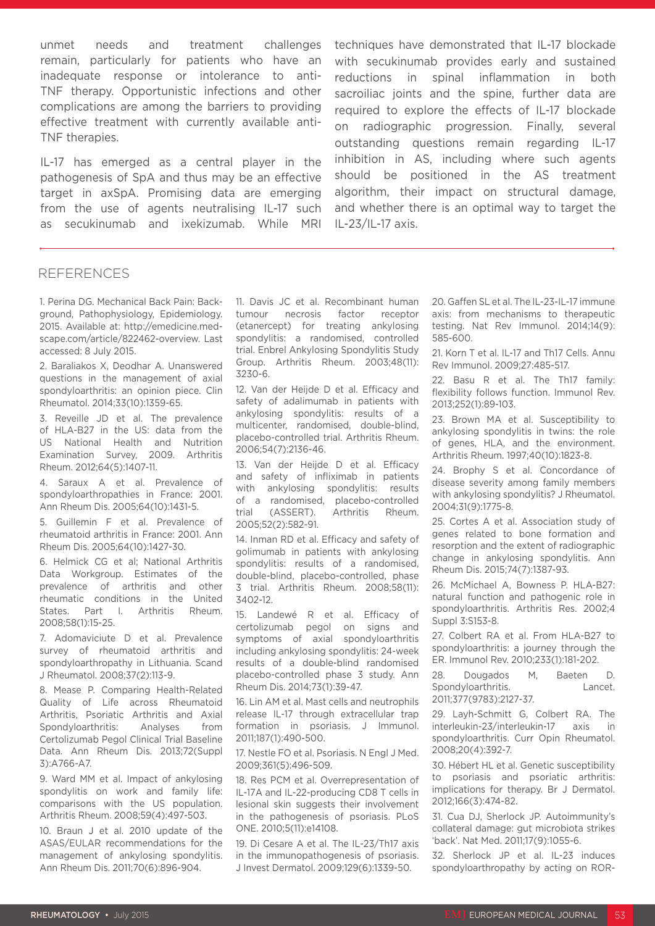unmet needs and treatment challenges remain, particularly for patients who have an inadequate response or intolerance to anti-TNF therapy. Opportunistic infections and other complications are among the barriers to providing effective treatment with currently available anti-TNF therapies.

IL-17 has emerged as a central player in the pathogenesis of SpA and thus may be an effective target in axSpA. Promising data are emerging from the use of agents neutralising IL-17 such as secukinumab and ixekizumab. While MRI

techniques have demonstrated that IL-17 blockade with secukinumab provides early and sustained reductions in spinal inflammation in both sacroiliac joints and the spine, further data are required to explore the effects of IL-17 blockade on radiographic progression. Finally, several outstanding questions remain regarding IL-17 inhibition in AS, including where such agents should be positioned in the AS treatment algorithm, their impact on structural damage, and whether there is an optimal way to target the IL-23/IL-17 axis.

#### REFERENCES

1. Perina DG. Mechanical Back Pain: Background, Pathophysiology, Epidemiology. 2015. Available at: http://emedicine.medscape.com/article/822462-overview. Last accessed: 8 July 2015.

2. Baraliakos X, Deodhar A. Unanswered questions in the management of axial spondyloarthritis: an opinion piece. Clin Rheumatol. 2014;33(10):1359-65.

3. Reveille JD et al. The prevalence of HLA-B27 in the US: data from the US National Health and Nutrition Examination Survey, 2009. Arthritis Rheum. 2012;64(5):1407-11.

4. Saraux A et al. Prevalence of spondyloarthropathies in France: 2001. Ann Rheum Dis. 2005;64(10):1431-5.

5. Guillemin F et al. Prevalence of rheumatoid arthritis in France: 2001. Ann Rheum Dis. 2005;64(10):1427-30.

6. Helmick CG et al; National Arthritis Data Workgroup. Estimates of the prevalence of arthritis and other rheumatic conditions in the United States. Part I. Arthritis Rheum. 2008;58(1):15-25.

7. Adomaviciute D et al. Prevalence survey of rheumatoid arthritis and spondyloarthropathy in Lithuania. Scand J Rheumatol. 2008;37(2):113-9.

8. Mease P. Comparing Health-Related Quality of Life across Rheumatoid Arthritis, Psoriatic Arthritis and Axial Spondyloarthritis: Analyses from Certolizumab Pegol Clinical Trial Baseline Data. Ann Rheum Dis. 2013;72(Suppl 3):A766-A7.

9. Ward MM et al. Impact of ankylosing spondylitis on work and family life: comparisons with the US population. Arthritis Rheum. 2008;59(4):497-503.

10. Braun J et al. 2010 update of the ASAS/EULAR recommendations for the management of ankylosing spondylitis. Ann Rheum Dis. 2011;70(6):896-904.

11. Davis JC et al. Recombinant human tumour necrosis factor receptor (etanercept) for treating ankylosing spondylitis: a randomised, controlled trial. Enbrel Ankylosing Spondylitis Study Group. Arthritis Rheum. 2003;48(11): 3230-6.

12. Van der Heijde D et al. Efficacy and safety of adalimumab in patients with ankylosing spondylitis: results of a multicenter, randomised, double-blind, placebo-controlled trial. Arthritis Rheum. 2006;54(7):2136-46.

13. Van der Heijde D et al. Efficacy and safety of infliximab in patients with ankylosing spondylitis: results of a randomised, placebo-controlled trial (ASSERT). Arthritis Rheum. 2005;52(2):582-91.

14. Inman RD et al. Efficacy and safety of golimumab in patients with ankylosing spondylitis: results of a randomised, double-blind, placebo-controlled, phase 3 trial. Arthritis Rheum. 2008;58(11): 3402-12.

15. Landewé R et al. Efficacy of certolizumab pegol on signs and symptoms of axial spondyloarthritis including ankylosing spondylitis: 24-week results of a double-blind randomised placebo-controlled phase 3 study. Ann Rheum Dis. 2014;73(1):39-47.

16. Lin AM et al. Mast cells and neutrophils release IL-17 through extracellular trap formation in psoriasis. J Immunol. 2011;187(1):490-500.

17. Nestle FO et al. Psoriasis. N Engl J Med. 2009;361(5):496-509.

18. Res PCM et al. Overrepresentation of IL-17A and IL-22-producing CD8 T cells in lesional skin suggests their involvement in the pathogenesis of psoriasis. PLoS ONE. 2010;5(11):e14108.

19. Di Cesare A et al. The IL-23/Th17 axis in the immunopathogenesis of psoriasis. J Invest Dermatol. 2009;129(6):1339-50.

20. Gaffen SL et al. The IL-23-IL-17 immune axis: from mechanisms to therapeutic testing. Nat Rev Immunol. 2014;14(9): 585-600.

21. Korn T et al. IL-17 and Th17 Cells. Annu Rev Immunol. 2009;27:485-517.

22. Basu R et al. The Th17 family: flexibility follows function. Immunol Rev. 2013;252(1):89-103.

23. Brown MA et al. Susceptibility to ankylosing spondylitis in twins: the role of genes, HLA, and the environment. Arthritis Rheum. 1997;40(10):1823-8.

24. Brophy S et al. Concordance of disease severity among family members with ankylosing spondylitis? J Rheumatol. 2004;31(9):1775-8.

25. Cortes A et al. Association study of genes related to bone formation and resorption and the extent of radiographic change in ankylosing spondylitis. Ann Rheum Dis. 2015;74(7):1387-93.

26. McMichael A, Bowness P. HLA-B27: natural function and pathogenic role in spondyloarthritis. Arthritis Res. 2002;4 Suppl 3:S153-8.

27. Colbert RA et al. From HLA-B27 to spondyloarthritis: a journey through the ER. Immunol Rev. 2010;233(1):181-202.

28. Dougados M, Baeten D. Spondyloarthritis. Lancet. 2011;377(9783):2127-37.

29. Layh-Schmitt G, Colbert RA. The interleukin-23/interleukin-17 axis in spondyloarthritis. Curr Opin Rheumatol. 2008;20(4):392-7.

30. Hébert HL et al. Genetic susceptibility to psoriasis and psoriatic arthritis: implications for therapy. Br J Dermatol. 2012;166(3):474-82.

31. Cua DJ, Sherlock JP. Autoimmunity's collateral damage: gut microbiota strikes 'back'. Nat Med. 2011;17(9):1055-6.

32. Sherlock JP et al. IL-23 induces spondyloarthropathy by acting on ROR-